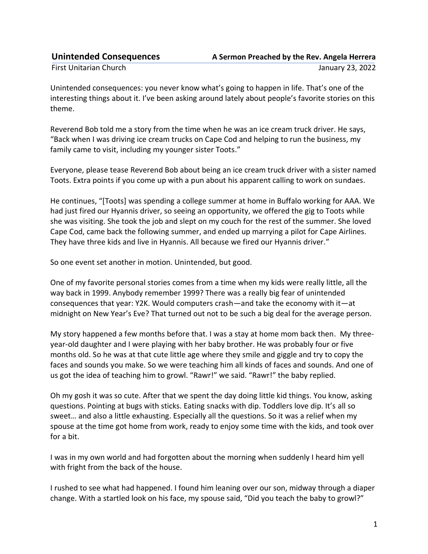| <b>Unintended Consequences</b> | A Sermon Preached by the Rev. Angela Herrera |
|--------------------------------|----------------------------------------------|
| First Unitarian Church         | January 23, 2022                             |

Unintended consequences: you never know what's going to happen in life. That's one of the interesting things about it. I've been asking around lately about people's favorite stories on this theme.

Reverend Bob told me a story from the time when he was an ice cream truck driver. He says, "Back when I was driving ice cream trucks on Cape Cod and helping to run the business, my family came to visit, including my younger sister Toots."

Everyone, please tease Reverend Bob about being an ice cream truck driver with a sister named Toots. Extra points if you come up with a pun about his apparent calling to work on sundaes.

He continues, "[Toots] was spending a college summer at home in Buffalo working for AAA. We had just fired our Hyannis driver, so seeing an opportunity, we offered the gig to Toots while she was visiting. She took the job and slept on my couch for the rest of the summer. She loved Cape Cod, came back the following summer, and ended up marrying a pilot for Cape Airlines. They have three kids and live in Hyannis. All because we fired our Hyannis driver."

So one event set another in motion. Unintended, but good.

One of my favorite personal stories comes from a time when my kids were really little, all the way back in 1999. Anybody remember 1999? There was a really big fear of unintended consequences that year: Y2K. Would computers crash—and take the economy with it—at midnight on New Year's Eve? That turned out not to be such a big deal for the average person.

My story happened a few months before that. I was a stay at home mom back then. My threeyear-old daughter and I were playing with her baby brother. He was probably four or five months old. So he was at that cute little age where they smile and giggle and try to copy the faces and sounds you make. So we were teaching him all kinds of faces and sounds. And one of us got the idea of teaching him to growl. "Rawr!" we said. "Rawr!" the baby replied.

Oh my gosh it was so cute. After that we spent the day doing little kid things. You know, asking questions. Pointing at bugs with sticks. Eating snacks with dip. Toddlers love dip. It's all so sweet… and also a little exhausting. Especially all the questions. So it was a relief when my spouse at the time got home from work, ready to enjoy some time with the kids, and took over for a bit.

I was in my own world and had forgotten about the morning when suddenly I heard him yell with fright from the back of the house.

I rushed to see what had happened. I found him leaning over our son, midway through a diaper change. With a startled look on his face, my spouse said, "Did you teach the baby to growl?"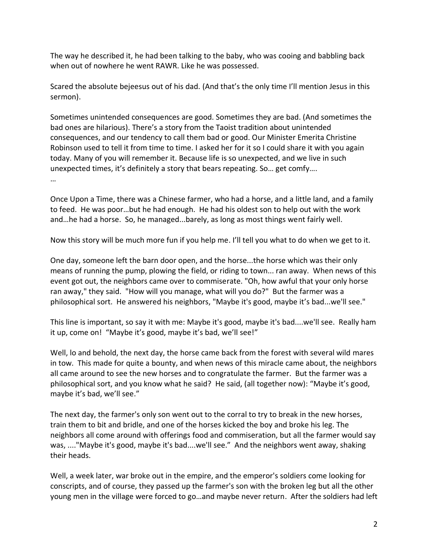The way he described it, he had been talking to the baby, who was cooing and babbling back when out of nowhere he went RAWR. Like he was possessed.

Scared the absolute bejeesus out of his dad. (And that's the only time I'll mention Jesus in this sermon).

Sometimes unintended consequences are good. Sometimes they are bad. (And sometimes the bad ones are hilarious). There's a story from the Taoist tradition about unintended consequences, and our tendency to call them bad or good. Our Minister Emerita Christine Robinson used to tell it from time to time. I asked her for it so I could share it with you again today. Many of you will remember it. Because life is so unexpected, and we live in such unexpected times, it's definitely a story that bears repeating. So… get comfy….

…

Once Upon a Time, there was a Chinese farmer, who had a horse, and a little land, and a family to feed. He was poor…but he had enough. He had his oldest son to help out with the work and…he had a horse. So, he managed...barely, as long as most things went fairly well.

Now this story will be much more fun if you help me. I'll tell you what to do when we get to it.

One day, someone left the barn door open, and the horse...the horse which was their only means of running the pump, plowing the field, or riding to town... ran away. When news of this event got out, the neighbors came over to commiserate. "Oh, how awful that your only horse ran away," they said. "How will you manage, what will you do?" But the farmer was a philosophical sort. He answered his neighbors, "Maybe it's good, maybe it's bad...we'll see."

This line is important, so say it with me: Maybe it's good, maybe it's bad....we'll see. Really ham it up, come on! "Maybe it's good, maybe it's bad, we'll see!"

Well, lo and behold, the next day, the horse came back from the forest with several wild mares in tow. This made for quite a bounty, and when news of this miracle came about, the neighbors all came around to see the new horses and to congratulate the farmer. But the farmer was a philosophical sort, and you know what he said? He said, (all together now): "Maybe it's good, maybe it's bad, we'll see."

The next day, the farmer's only son went out to the corral to try to break in the new horses, train them to bit and bridle, and one of the horses kicked the boy and broke his leg. The neighbors all come around with offerings food and commiseration, but all the farmer would say was, ...."Maybe it's good, maybe it's bad....we'll see." And the neighbors went away, shaking their heads.

Well, a week later, war broke out in the empire, and the emperor's soldiers come looking for conscripts, and of course, they passed up the farmer's son with the broken leg but all the other young men in the village were forced to go…and maybe never return. After the soldiers had left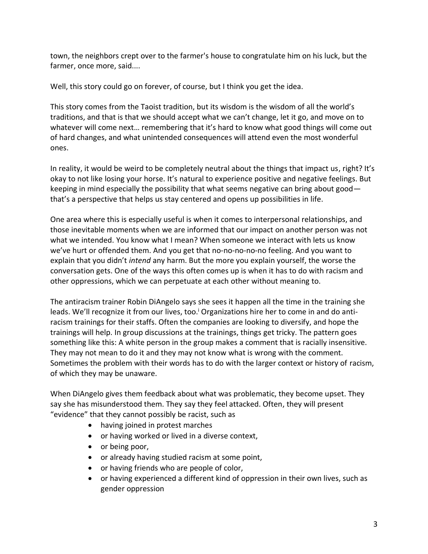town, the neighbors crept over to the farmer's house to congratulate him on his luck, but the farmer, once more, said....

Well, this story could go on forever, of course, but I think you get the idea.

This story comes from the Taoist tradition, but its wisdom is the wisdom of all the world's traditions, and that is that we should accept what we can't change, let it go, and move on to whatever will come next… remembering that it's hard to know what good things will come out of hard changes, and what unintended consequences will attend even the most wonderful ones.

In reality, it would be weird to be completely neutral about the things that impact us, right? It's okay to not like losing your horse. It's natural to experience positive and negative feelings. But keeping in mind especially the possibility that what seems negative can bring about good that's a perspective that helps us stay centered and opens up possibilities in life.

One area where this is especially useful is when it comes to interpersonal relationships, and those inevitable moments when we are informed that our impact on another person was not what we intended. You know what I mean? When someone we interact with lets us know we've hurt or offended them. And you get that no-no-no-no-no feeling. And you want to explain that you didn't *intend* any harm. But the more you explain yourself, the worse the conversation gets. One of the ways this often comes up is when it has to do with racism and other oppressions, which we can perpetuate at each other without meaning to.

The antiracism trainer Robin DiAngelo says she sees it happen all the time in the training she leads. We'll recognize it from our lives, too.<sup>i</sup> Organizations hire her to come in and do antiracism trainings for their staffs. Often the companies are looking to diversify, and hope the trainings will help. In group discussions at the trainings, things get tricky. The pattern goes something like this: A white person in the group makes a comment that is racially insensitive. They may not mean to do it and they may not know what is wrong with the comment. Sometimes the problem with their words has to do with the larger context or history of racism, of which they may be unaware.

When DiAngelo gives them feedback about what was problematic, they become upset. They say she has misunderstood them. They say they feel attacked. Often, they will present "evidence" that they cannot possibly be racist, such as

- having joined in protest marches
- or having worked or lived in a diverse context,
- or being poor,
- or already having studied racism at some point,
- or having friends who are people of color,
- or having experienced a different kind of oppression in their own lives, such as gender oppression